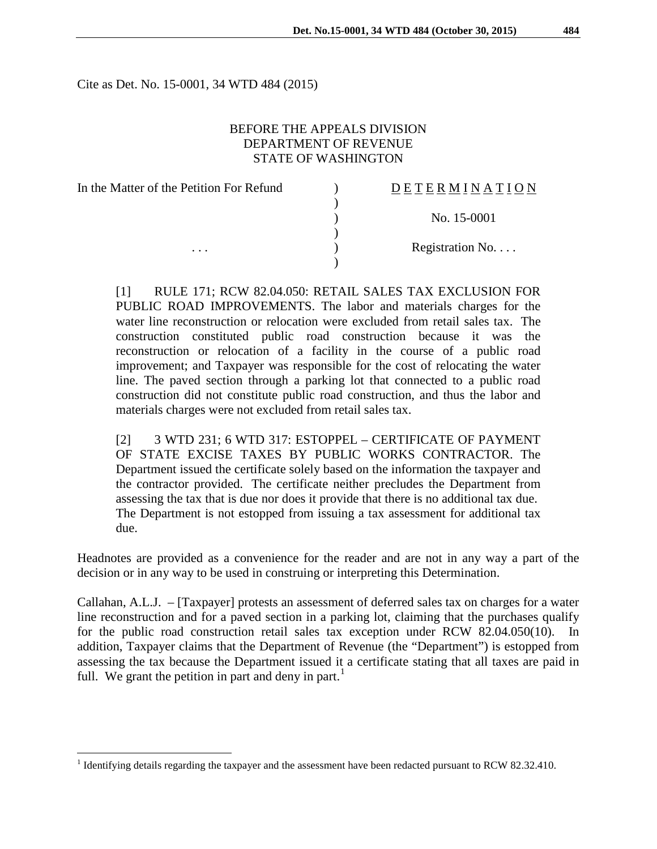Cite as Det. No. 15-0001, 34 WTD 484 (2015)

## BEFORE THE APPEALS DIVISION DEPARTMENT OF REVENUE STATE OF WASHINGTON

| In the Matter of the Petition For Refund | DETERMINATION   |
|------------------------------------------|-----------------|
|                                          |                 |
|                                          | No. 15-0001     |
|                                          |                 |
| $\cdots$                                 | Registration No |
|                                          |                 |

[1] RULE 171; RCW 82.04.050: RETAIL SALES TAX EXCLUSION FOR PUBLIC ROAD IMPROVEMENTS. The labor and materials charges for the water line reconstruction or relocation were excluded from retail sales tax. The construction constituted public road construction because it was the reconstruction or relocation of a facility in the course of a public road improvement; and Taxpayer was responsible for the cost of relocating the water line. The paved section through a parking lot that connected to a public road construction did not constitute public road construction, and thus the labor and materials charges were not excluded from retail sales tax.

[2] 3 WTD 231; 6 WTD 317: ESTOPPEL – CERTIFICATE OF PAYMENT OF STATE EXCISE TAXES BY PUBLIC WORKS CONTRACTOR. The Department issued the certificate solely based on the information the taxpayer and the contractor provided. The certificate neither precludes the Department from assessing the tax that is due nor does it provide that there is no additional tax due. The Department is not estopped from issuing a tax assessment for additional tax due.

Headnotes are provided as a convenience for the reader and are not in any way a part of the decision or in any way to be used in construing or interpreting this Determination.

Callahan, A.L.J. – [Taxpayer] protests an assessment of deferred sales tax on charges for a water line reconstruction and for a paved section in a parking lot, claiming that the purchases qualify for the public road construction retail sales tax exception under RCW 82.04.050(10). In addition, Taxpayer claims that the Department of Revenue (the "Department") is estopped from assessing the tax because the Department issued it a certificate stating that all taxes are paid in full. We grant the petition in part and deny in part.<sup>[1](#page-0-0)</sup>

<span id="page-0-0"></span><sup>&</sup>lt;sup>1</sup> Identifying details regarding the taxpayer and the assessment have been redacted pursuant to RCW 82.32.410.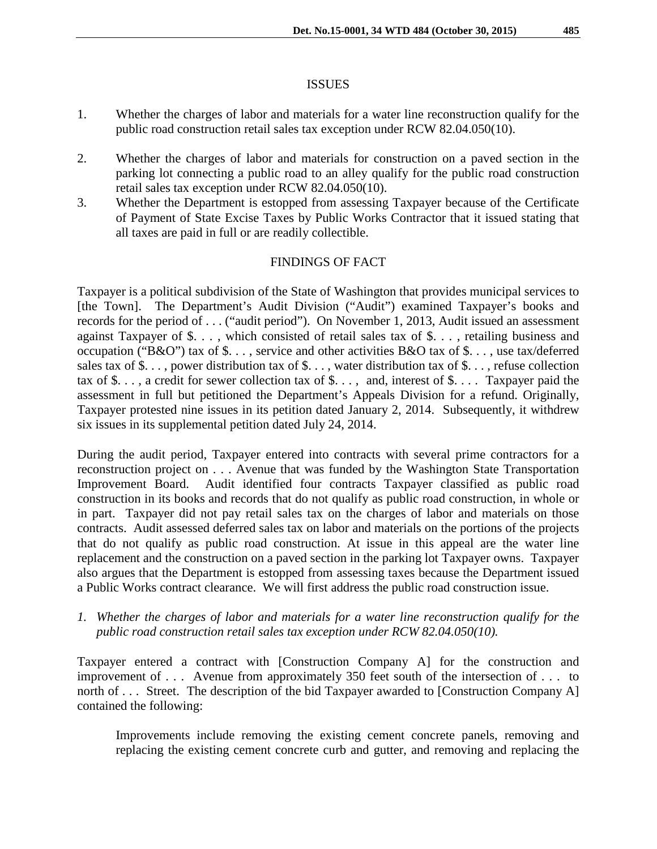#### **ISSUES**

- 1. Whether the charges of labor and materials for a water line reconstruction qualify for the public road construction retail sales tax exception under RCW 82.04.050(10).
- 2. Whether the charges of labor and materials for construction on a paved section in the parking lot connecting a public road to an alley qualify for the public road construction retail sales tax exception under RCW 82.04.050(10).
- 3. Whether the Department is estopped from assessing Taxpayer because of the Certificate of Payment of State Excise Taxes by Public Works Contractor that it issued stating that all taxes are paid in full or are readily collectible.

# FINDINGS OF FACT

Taxpayer is a political subdivision of the State of Washington that provides municipal services to [the Town]. The Department's Audit Division ("Audit") examined Taxpayer's books and records for the period of . . . ("audit period"). On November 1, 2013, Audit issued an assessment against Taxpayer of \$. . . , which consisted of retail sales tax of \$. . . , retailing business and occupation ("B&O") tax of \$. . . , service and other activities B&O tax of \$. . . , use tax/deferred sales tax of \$. . . , power distribution tax of \$. . . , water distribution tax of \$. . . , refuse collection tax of \$..., a credit for sewer collection tax of  $\$\dots$ , and, interest of  $\$\dots$ . Taxpayer paid the assessment in full but petitioned the Department's Appeals Division for a refund. Originally, Taxpayer protested nine issues in its petition dated January 2, 2014. Subsequently, it withdrew six issues in its supplemental petition dated July 24, 2014.

During the audit period, Taxpayer entered into contracts with several prime contractors for a reconstruction project on . . . Avenue that was funded by the Washington State Transportation Improvement Board. Audit identified four contracts Taxpayer classified as public road construction in its books and records that do not qualify as public road construction, in whole or in part. Taxpayer did not pay retail sales tax on the charges of labor and materials on those contracts. Audit assessed deferred sales tax on labor and materials on the portions of the projects that do not qualify as public road construction. At issue in this appeal are the water line replacement and the construction on a paved section in the parking lot Taxpayer owns. Taxpayer also argues that the Department is estopped from assessing taxes because the Department issued a Public Works contract clearance. We will first address the public road construction issue.

*1. Whether the charges of labor and materials for a water line reconstruction qualify for the public road construction retail sales tax exception under RCW 82.04.050(10).*

Taxpayer entered a contract with [Construction Company A] for the construction and improvement of . . . Avenue from approximately 350 feet south of the intersection of . . . to north of . . . Street. The description of the bid Taxpayer awarded to [Construction Company A] contained the following:

Improvements include removing the existing cement concrete panels, removing and replacing the existing cement concrete curb and gutter, and removing and replacing the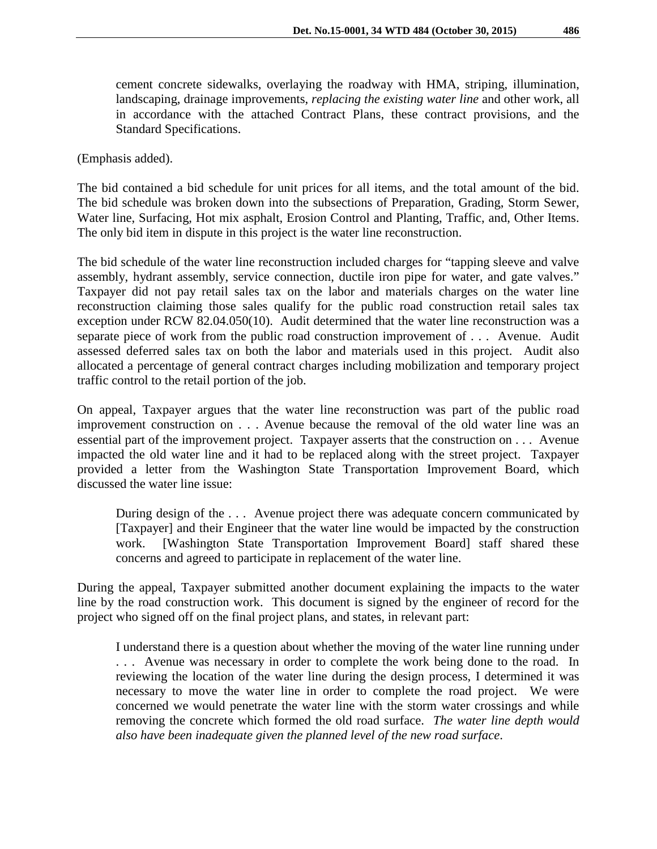cement concrete sidewalks, overlaying the roadway with HMA, striping, illumination, landscaping, drainage improvements, *replacing the existing water line* and other work, all in accordance with the attached Contract Plans, these contract provisions, and the Standard Specifications.

(Emphasis added).

The bid contained a bid schedule for unit prices for all items, and the total amount of the bid. The bid schedule was broken down into the subsections of Preparation, Grading, Storm Sewer, Water line, Surfacing, Hot mix asphalt, Erosion Control and Planting, Traffic, and, Other Items. The only bid item in dispute in this project is the water line reconstruction.

The bid schedule of the water line reconstruction included charges for "tapping sleeve and valve assembly, hydrant assembly, service connection, ductile iron pipe for water, and gate valves." Taxpayer did not pay retail sales tax on the labor and materials charges on the water line reconstruction claiming those sales qualify for the public road construction retail sales tax exception under RCW 82.04.050(10). Audit determined that the water line reconstruction was a separate piece of work from the public road construction improvement of . . . Avenue. Audit assessed deferred sales tax on both the labor and materials used in this project. Audit also allocated a percentage of general contract charges including mobilization and temporary project traffic control to the retail portion of the job.

On appeal, Taxpayer argues that the water line reconstruction was part of the public road improvement construction on . . . Avenue because the removal of the old water line was an essential part of the improvement project. Taxpayer asserts that the construction on . . . Avenue impacted the old water line and it had to be replaced along with the street project. Taxpayer provided a letter from the Washington State Transportation Improvement Board, which discussed the water line issue:

During design of the . . . Avenue project there was adequate concern communicated by [Taxpayer] and their Engineer that the water line would be impacted by the construction work. [Washington State Transportation Improvement Board] staff shared these concerns and agreed to participate in replacement of the water line.

During the appeal, Taxpayer submitted another document explaining the impacts to the water line by the road construction work. This document is signed by the engineer of record for the project who signed off on the final project plans, and states, in relevant part:

I understand there is a question about whether the moving of the water line running under . . . Avenue was necessary in order to complete the work being done to the road. In reviewing the location of the water line during the design process, I determined it was necessary to move the water line in order to complete the road project. We were concerned we would penetrate the water line with the storm water crossings and while removing the concrete which formed the old road surface. *The water line depth would also have been inadequate given the planned level of the new road surface*.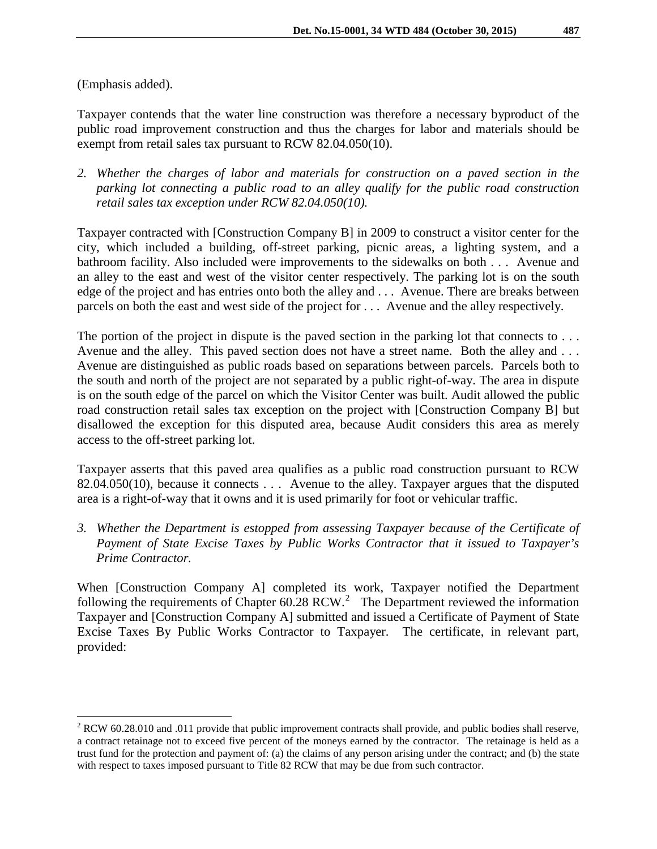Taxpayer contends that the water line construction was therefore a necessary byproduct of the public road improvement construction and thus the charges for labor and materials should be exempt from retail sales tax pursuant to RCW 82.04.050(10).

*2. Whether the charges of labor and materials for construction on a paved section in the parking lot connecting a public road to an alley qualify for the public road construction retail sales tax exception under RCW 82.04.050(10).*

Taxpayer contracted with [Construction Company B] in 2009 to construct a visitor center for the city, which included a building, off-street parking, picnic areas, a lighting system, and a bathroom facility. Also included were improvements to the sidewalks on both . . . Avenue and an alley to the east and west of the visitor center respectively. The parking lot is on the south edge of the project and has entries onto both the alley and . . . Avenue. There are breaks between parcels on both the east and west side of the project for . . . Avenue and the alley respectively.

The portion of the project in dispute is the paved section in the parking lot that connects to ... Avenue and the alley. This paved section does not have a street name. Both the alley and . . . Avenue are distinguished as public roads based on separations between parcels. Parcels both to the south and north of the project are not separated by a public right-of-way. The area in dispute is on the south edge of the parcel on which the Visitor Center was built. Audit allowed the public road construction retail sales tax exception on the project with [Construction Company B] but disallowed the exception for this disputed area, because Audit considers this area as merely access to the off-street parking lot.

Taxpayer asserts that this paved area qualifies as a public road construction pursuant to RCW 82.04.050(10), because it connects . . . Avenue to the alley. Taxpayer argues that the disputed area is a right-of-way that it owns and it is used primarily for foot or vehicular traffic.

*3. Whether the Department is estopped from assessing Taxpayer because of the Certificate of Payment of State Excise Taxes by Public Works Contractor that it issued to Taxpayer's Prime Contractor.*

When [Construction Company A] completed its work, Taxpayer notified the Department following the requirements of Chapter  $60.28$  $60.28$  $60.28$  RCW.<sup>2</sup> The Department reviewed the information Taxpayer and [Construction Company A] submitted and issued a Certificate of Payment of State Excise Taxes By Public Works Contractor to Taxpayer. The certificate, in relevant part, provided:

<span id="page-3-0"></span> $2$  RCW 60.28.010 and .011 provide that public improvement contracts shall provide, and public bodies shall reserve, a contract retainage not to exceed five percent of the moneys earned by the contractor. The retainage is held as a trust fund for the protection and payment of: (a) the claims of any person arising under the contract; and (b) the state with respect to taxes imposed pursuant to Title 82 RCW that may be due from such contractor.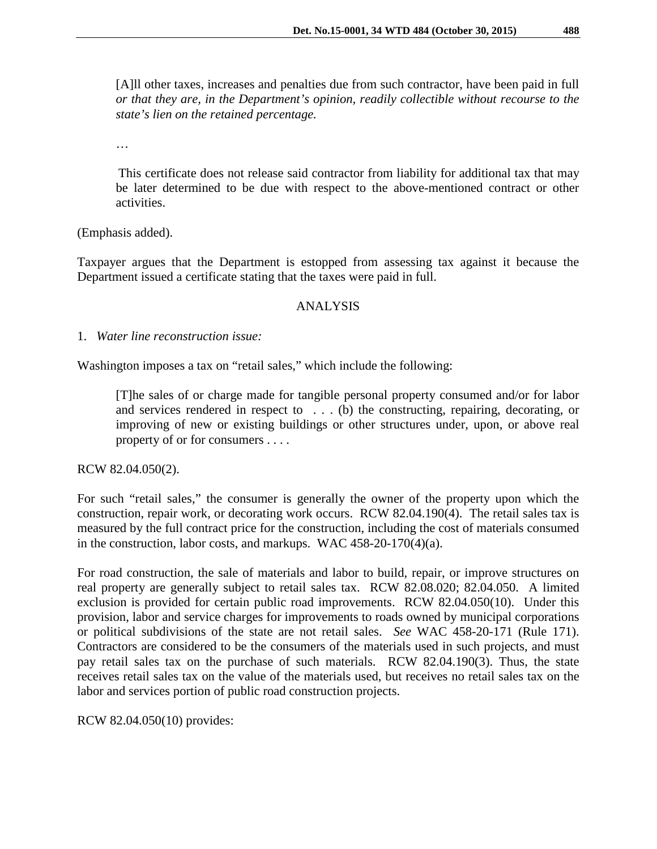[A]ll other taxes, increases and penalties due from such contractor, have been paid in full *or that they are, in the Department's opinion, readily collectible without recourse to the state's lien on the retained percentage.*

…

This certificate does not release said contractor from liability for additional tax that may be later determined to be due with respect to the above-mentioned contract or other activities.

(Emphasis added).

Taxpayer argues that the Department is estopped from assessing tax against it because the Department issued a certificate stating that the taxes were paid in full.

## ANALYSIS

1. *Water line reconstruction issue:*

Washington imposes a tax on "retail sales," which include the following:

[T]he sales of or charge made for tangible personal property consumed and/or for labor and services rendered in respect to . . . (b) the constructing, repairing, decorating, or improving of new or existing buildings or other structures under, upon, or above real property of or for consumers . . . .

RCW 82.04.050(2).

For such "retail sales," the consumer is generally the owner of the property upon which the construction, repair work, or decorating work occurs. RCW 82.04.190(4). The retail sales tax is measured by the full contract price for the construction, including the cost of materials consumed in the construction, labor costs, and markups. WAC 458-20-170(4)(a).

For road construction, the sale of materials and labor to build, repair, or improve structures on real property are generally subject to retail sales tax. RCW 82.08.020; 82.04.050. A limited exclusion is provided for certain public road improvements. RCW 82.04.050(10). Under this provision, labor and service charges for improvements to roads owned by municipal corporations or political subdivisions of the state are not retail sales. *See* WAC 458-20-171 (Rule 171). Contractors are considered to be the consumers of the materials used in such projects, and must pay retail sales tax on the purchase of such materials. RCW 82.04.190(3). Thus, the state receives retail sales tax on the value of the materials used, but receives no retail sales tax on the labor and services portion of public road construction projects.

RCW 82.04.050(10) provides: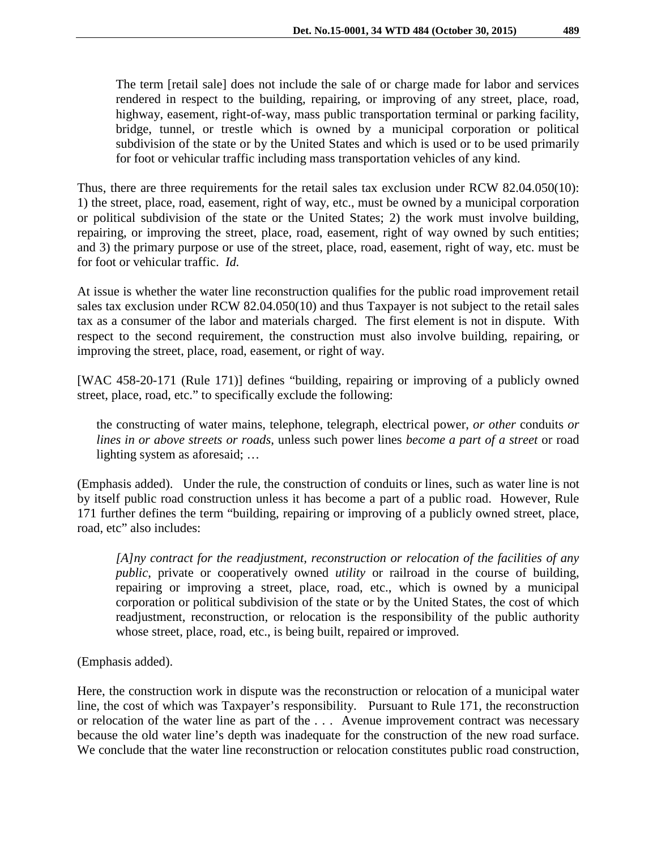The term [retail sale] does not include the sale of or charge made for labor and services rendered in respect to the building, repairing, or improving of any street, place, road, highway, easement, right-of-way, mass public transportation terminal or parking facility, bridge, tunnel, or trestle which is owned by a municipal corporation or political subdivision of the state or by the United States and which is used or to be used primarily for foot or vehicular traffic including mass transportation vehicles of any kind.

Thus, there are three requirements for the retail sales tax exclusion under RCW 82.04.050(10): 1) the street, place, road, easement, right of way, etc., must be owned by a municipal corporation or political subdivision of the state or the United States; 2) the work must involve building, repairing, or improving the street, place, road, easement, right of way owned by such entities; and 3) the primary purpose or use of the street, place, road, easement, right of way, etc. must be for foot or vehicular traffic. *Id.*

At issue is whether the water line reconstruction qualifies for the public road improvement retail sales tax exclusion under RCW 82.04.050(10) and thus Taxpayer is not subject to the retail sales tax as a consumer of the labor and materials charged. The first element is not in dispute. With respect to the second requirement, the construction must also involve building, repairing, or improving the street, place, road, easement, or right of way.

[WAC 458-20-171 (Rule 171)] defines "building, repairing or improving of a publicly owned street, place, road, etc." to specifically exclude the following:

the constructing of water mains, telephone, telegraph, electrical power, *or other* conduits *or lines in or above streets or roads*, unless such power lines *become a part of a street* or road lighting system as aforesaid; …

(Emphasis added). Under the rule, the construction of conduits or lines, such as water line is not by itself public road construction unless it has become a part of a public road. However, Rule 171 further defines the term "building, repairing or improving of a publicly owned street, place, road, etc" also includes:

*[A]ny contract for the readjustment, reconstruction or relocation of the facilities of any public*, private or cooperatively owned *utility* or railroad in the course of building, repairing or improving a street, place, road, etc., which is owned by a municipal corporation or political subdivision of the state or by the United States, the cost of which readjustment, reconstruction, or relocation is the responsibility of the public authority whose street, place, road, etc., is being built, repaired or improved.

(Emphasis added).

Here, the construction work in dispute was the reconstruction or relocation of a municipal water line, the cost of which was Taxpayer's responsibility. Pursuant to Rule 171, the reconstruction or relocation of the water line as part of the . . . Avenue improvement contract was necessary because the old water line's depth was inadequate for the construction of the new road surface. We conclude that the water line reconstruction or relocation constitutes public road construction,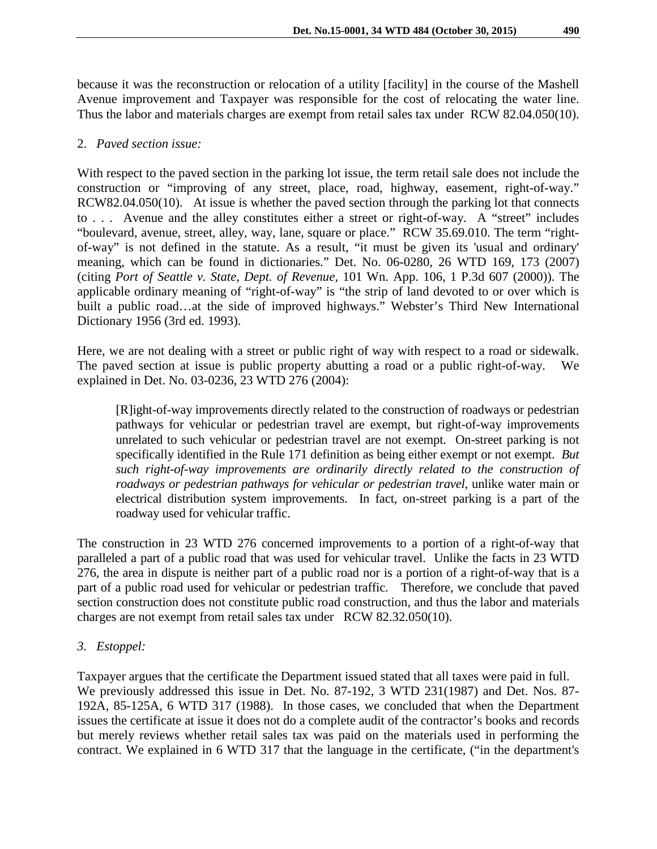because it was the reconstruction or relocation of a utility [facility] in the course of the Mashell Avenue improvement and Taxpayer was responsible for the cost of relocating the water line. Thus the labor and materials charges are exempt from retail sales tax under RCW 82.04.050(10).

#### 2. *Paved section issue:*

With respect to the paved section in the parking lot issue, the term retail sale does not include the construction or "improving of any street, place, road, highway, easement, right-of-way." RCW82.04.050(10). At issue is whether the paved section through the parking lot that connects to . . . Avenue and the alley constitutes either a street or right-of-way. A "street" includes "boulevard, avenue, street, alley, way, lane, square or place." RCW 35.69.010. The term "rightof-way" is not defined in the statute. As a result, "it must be given its 'usual and ordinary' meaning, which can be found in dictionaries." Det. No. 06-0280, 26 WTD 169, 173 (2007) (citing *Port of Seattle v. State, Dept. of Revenue,* 101 Wn. App. 106, 1 P.3d 607 (2000)). The applicable ordinary meaning of "right-of-way" is "the strip of land devoted to or over which is built a public road…at the side of improved highways." Webster's Third New International Dictionary 1956 (3rd ed. 1993).

Here, we are not dealing with a street or public right of way with respect to a road or sidewalk. The paved section at issue is public property abutting a road or a public right-of-way. We explained in Det. No. 03-0236, 23 WTD 276 (2004):

[R]ight-of-way improvements directly related to the construction of roadways or pedestrian pathways for vehicular or pedestrian travel are exempt, but right-of-way improvements unrelated to such vehicular or pedestrian travel are not exempt. On-street parking is not specifically identified in the Rule 171 definition as being either exempt or not exempt. *But such right-of-way improvements are ordinarily directly related to the construction of roadways or pedestrian pathways for vehicular or pedestrian travel*, unlike water main or electrical distribution system improvements. In fact, on-street parking is a part of the roadway used for vehicular traffic.

The construction in 23 WTD 276 concerned improvements to a portion of a right-of-way that paralleled a part of a public road that was used for vehicular travel. Unlike the facts in 23 WTD 276, the area in dispute is neither part of a public road nor is a portion of a right-of-way that is a part of a public road used for vehicular or pedestrian traffic. Therefore, we conclude that paved section construction does not constitute public road construction, and thus the labor and materials charges are not exempt from retail sales tax under RCW 82.32.050(10).

## *3. Estoppel:*

Taxpayer argues that the certificate the Department issued stated that all taxes were paid in full. We previously addressed this issue in Det. No. 87-192, 3 WTD 231(1987) and Det. Nos. 87- 192A, 85-125A, 6 WTD 317 (1988). In those cases, we concluded that when the Department issues the certificate at issue it does not do a complete audit of the contractor's books and records but merely reviews whether retail sales tax was paid on the materials used in performing the contract. We explained in 6 WTD 317 that the language in the certificate, ("in the department's